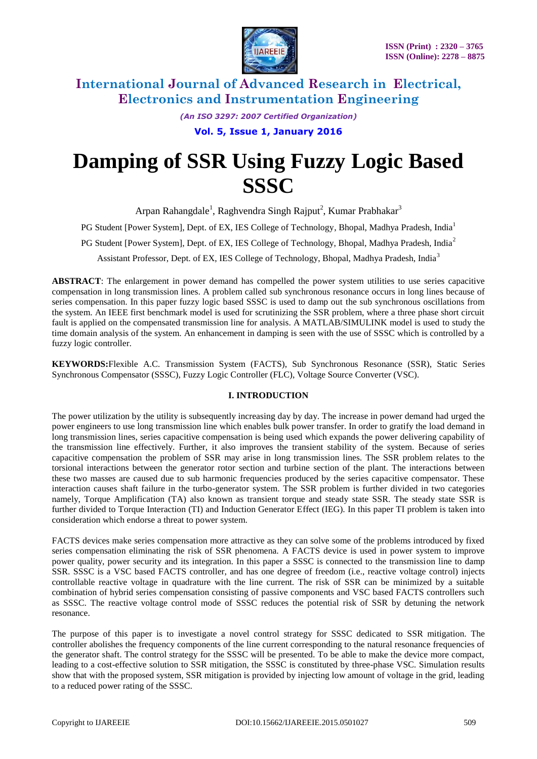

*(An ISO 3297: 2007 Certified Organization)*

**Vol. 5, Issue 1, January 2016**

# **Damping of SSR Using Fuzzy Logic Based SSSC**

Arpan Rahangdale<sup>1</sup>, Raghvendra Singh Rajput<sup>2</sup>, Kumar Prabhakar<sup>3</sup>

PG Student [Power System], Dept. of EX, IES College of Technology, Bhopal, Madhya Pradesh, India<sup>1</sup>

PG Student [Power System], Dept. of EX, IES College of Technology, Bhopal, Madhya Pradesh, India<sup>2</sup>

Assistant Professor, Dept. of EX, IES College of Technology, Bhopal, Madhya Pradesh, India<sup>3</sup>

**ABSTRACT**: The enlargement in power demand has compelled the power system utilities to use series capacitive compensation in long transmission lines. A problem called sub synchronous resonance occurs in long lines because of series compensation. In this paper fuzzy logic based SSSC is used to damp out the sub synchronous oscillations from the system. An IEEE first benchmark model is used for scrutinizing the SSR problem, where a three phase short circuit fault is applied on the compensated transmission line for analysis. A MATLAB/SIMULINK model is used to study the time domain analysis of the system. An enhancement in damping is seen with the use of SSSC which is controlled by a fuzzy logic controller.

**KEYWORDS:**Flexible A.C. Transmission System (FACTS), Sub Synchronous Resonance (SSR), Static Series Synchronous Compensator (SSSC), Fuzzy Logic Controller (FLC), Voltage Source Converter (VSC).

### **I. INTRODUCTION**

The power utilization by the utility is subsequently increasing day by day. The increase in power demand had urged the power engineers to use long transmission line which enables bulk power transfer. In order to gratify the load demand in long transmission lines, series capacitive compensation is being used which expands the power delivering capability of the transmission line effectively. Further, it also improves the transient stability of the system. Because of series capacitive compensation the problem of SSR may arise in long transmission lines. The SSR problem relates to the torsional interactions between the generator rotor section and turbine section of the plant. The interactions between these two masses are caused due to sub harmonic frequencies produced by the series capacitive compensator. These interaction causes shaft failure in the turbo-generator system. The SSR problem is further divided in two categories namely, Torque Amplification (TA) also known as transient torque and steady state SSR. The steady state SSR is further divided to Torque Interaction (TI) and Induction Generator Effect (IEG). In this paper TI problem is taken into consideration which endorse a threat to power system.

FACTS devices make series compensation more attractive as they can solve some of the problems introduced by fixed series compensation eliminating the risk of SSR phenomena. A FACTS device is used in power system to improve power quality, power security and its integration. In this paper a SSSC is connected to the transmission line to damp SSR. SSSC is a VSC based FACTS controller, and has one degree of freedom (i.e., reactive voltage control) injects controllable reactive voltage in quadrature with the line current. The risk of SSR can be minimized by a suitable combination of hybrid series compensation consisting of passive components and VSC based FACTS controllers such as SSSC. The reactive voltage control mode of SSSC reduces the potential risk of SSR by detuning the network resonance.

The purpose of this paper is to investigate a novel control strategy for SSSC dedicated to SSR mitigation. The controller abolishes the frequency components of the line current corresponding to the natural resonance frequencies of the generator shaft. The control strategy for the SSSC will be presented. To be able to make the device more compact, leading to a cost-effective solution to SSR mitigation, the SSSC is constituted by three-phase VSC. Simulation results show that with the proposed system, SSR mitigation is provided by injecting low amount of voltage in the grid, leading to a reduced power rating of the SSSC.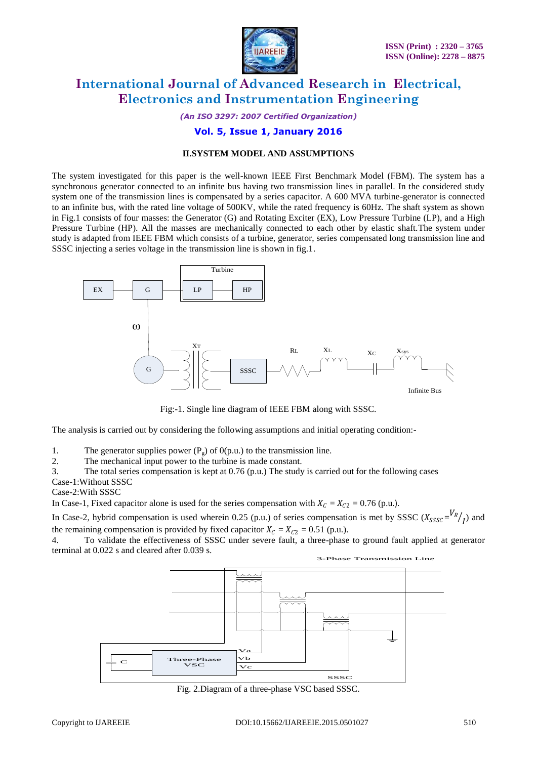

*(An ISO 3297: 2007 Certified Organization)*

### **Vol. 5, Issue 1, January 2016**

### **II.SYSTEM MODEL AND ASSUMPTIONS**

The system investigated for this paper is the well-known IEEE First Benchmark Model (FBM). The system has a synchronous generator connected to an infinite bus having two transmission lines in parallel. In the considered study system one of the transmission lines is compensated by a series capacitor. A 600 MVA turbine-generator is connected to an infinite bus, with the rated line voltage of 500KV, while the rated frequency is 60Hz. The shaft system as shown in Fig.1 consists of four masses: the Generator (G) and Rotating Exciter (EX), Low Pressure Turbine (LP), and a High Pressure Turbine (HP). All the masses are mechanically connected to each other by elastic shaft.The system under study is adapted from IEEE FBM which consists of a turbine, generator, series compensated long transmission line and SSSC injecting a series voltage in the transmission line is shown in fig.1.



Fig:-1. Single line diagram of IEEE FBM along with SSSC.

The analysis is carried out by considering the following assumptions and initial operating condition:-

1. The generator supplies power  $(P_g)$  of  $O(p.u.)$  to the transmission line.<br>2. The mechanical input power to the turbine is made constant

The mechanical input power to the turbine is made constant.

3. The total series compensation is kept at 0.76 (p.u.) The study is carried out for the following cases

Case-1:Without SSSC

Case-2:With SSSC

In Case-1, Fixed capacitor alone is used for the series compensation with  $X_c = X_{c2} = 0.76$  (p.u.).

In Case-2, hybrid compensation is used wherein 0.25 (p.u.) of series compensation is met by SSSC ( $X_{SSSC} = \frac{V_R}{I}$ ) and the remaining compensation is provided by fixed capacitor  $X_c = X_{c2} = 0.51$  (p.u.).

4. To validate the effectiveness of SSSC under severe fault, a three-phase to ground fault applied at generator terminal at 0.022 s and cleared after 0.039 s.



Fig. 2.Diagram of a three-phase VSC based SSSC.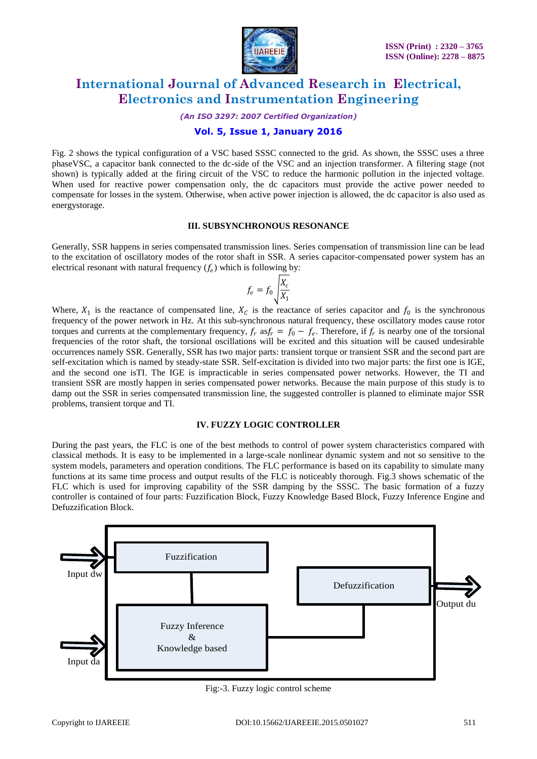

*(An ISO 3297: 2007 Certified Organization)*

### **Vol. 5, Issue 1, January 2016**

Fig. 2 shows the typical configuration of a VSC based SSSC connected to the grid. As shown, the SSSC uses a three phaseVSC, a capacitor bank connected to the dc-side of the VSC and an injection transformer. A filtering stage (not shown) is typically added at the firing circuit of the VSC to reduce the harmonic pollution in the injected voltage. When used for reactive power compensation only, the dc capacitors must provide the active power needed to compensate for losses in the system. Otherwise, when active power injection is allowed, the dc capacitor is also used as energystorage.

#### **III. SUBSYNCHRONOUS RESONANCE**

Generally, SSR happens in series compensated transmission lines. Series compensation of transmission line can be lead to the excitation of oscillatory modes of the rotor shaft in SSR. A series capacitor-compensated power system has an electrical resonant with natural frequency  $(f_e)$  which is following by:

$$
f_e = f_0 \sqrt{\frac{X_c}{X_1}}
$$

Where,  $X_1$  is the reactance of compensated line,  $X_c$  is the reactance of series capacitor and  $f_0$  is the synchronous frequency of the power network in Hz. At this sub-synchronous natural frequency, these oscillatory modes cause rotor torques and currents at the complementary frequency,  $f_r$  as $f_r = f_0 - f_e$ . Therefore, if  $f_r$  is nearby one of the torsional frequencies of the rotor shaft, the torsional oscillations will be excited and this situation will be caused undesirable occurrences namely SSR. Generally, SSR has two major parts: transient torque or transient SSR and the second part are self-excitation which is named by steady-state SSR. Self-excitation is divided into two major parts: the first one is IGE, and the second one isTI. The IGE is impracticable in series compensated power networks. However, the TI and transient SSR are mostly happen in series compensated power networks. Because the main purpose of this study is to damp out the SSR in series compensated transmission line, the suggested controller is planned to eliminate major SSR problems, transient torque and TI.

#### **IV. FUZZY LOGIC CONTROLLER**

During the past years, the FLC is one of the best methods to control of power system characteristics compared with classical methods. It is easy to be implemented in a large-scale nonlinear dynamic system and not so sensitive to the system models, parameters and operation conditions. The FLC performance is based on its capability to simulate many functions at its same time process and output results of the FLC is noticeably thorough. Fig.3 shows schematic of the FLC which is used for improving capability of the SSR damping by the SSSC. The basic formation of a fuzzy controller is contained of four parts: Fuzzification Block, Fuzzy Knowledge Based Block, Fuzzy Inference Engine and Defuzzification Block.



Fig:-3. Fuzzy logic control scheme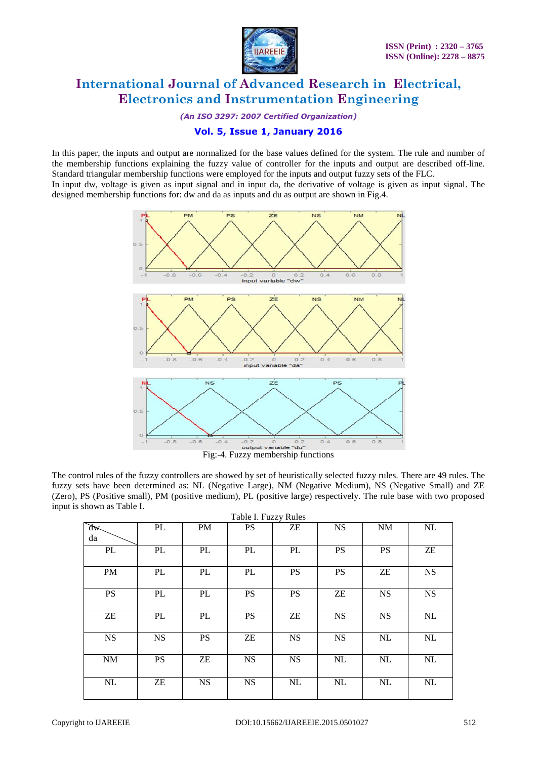

*(An ISO 3297: 2007 Certified Organization)*

### **Vol. 5, Issue 1, January 2016**

In this paper, the inputs and output are normalized for the base values defined for the system. The rule and number of the membership functions explaining the fuzzy value of controller for the inputs and output are described off-line. Standard triangular membership functions were employed for the inputs and output fuzzy sets of the FLC. In input dw, voltage is given as input signal and in input da, the derivative of voltage is given as input signal. The designed membership functions for: dw and da as inputs and du as output are shown in Fig.4.



The control rules of the fuzzy controllers are showed by set of heuristically selected fuzzy rules. There are 49 rules. The fuzzy sets have been determined as: NL (Negative Large), NM (Negative Medium), NS (Negative Small) and ZE (Zero), PS (Positive small), PM (positive medium), PL (positive large) respectively. The rule base with two proposed input is shown as Table I.

| Table I. Fuzzy Rules       |           |           |           |                            |           |           |            |
|----------------------------|-----------|-----------|-----------|----------------------------|-----------|-----------|------------|
| $\mathbb{R}^n$             | PL        | PM        | <b>PS</b> | ZΕ                         | <b>NS</b> | <b>NM</b> | NL         |
| da                         |           |           |           |                            |           |           |            |
| PL                         | PL        | PL        | PL        | PL                         | <b>PS</b> | <b>PS</b> | ${\rm ZE}$ |
| PM                         | PL        | PL        | PL        | <b>PS</b>                  | <b>PS</b> | ZE        | <b>NS</b>  |
| <b>PS</b>                  | PL        | PL        | <b>PS</b> | <b>PS</b>                  | ZΕ        | <b>NS</b> | <b>NS</b>  |
| $\ensuremath{\mathsf{ZE}}$ | PL        | PL        | <b>PS</b> | $\ensuremath{\mathsf{ZE}}$ | <b>NS</b> | <b>NS</b> | NL         |
| <b>NS</b>                  | <b>NS</b> | <b>PS</b> | ZE        | <b>NS</b>                  | <b>NS</b> | NL        | NL         |
| $\rm{NM}$                  | <b>PS</b> | ZE        | <b>NS</b> | <b>NS</b>                  | NL        | NL        | NL         |
| NL                         | ZE        | <b>NS</b> | <b>NS</b> | NL                         | NL        | NL        | NL         |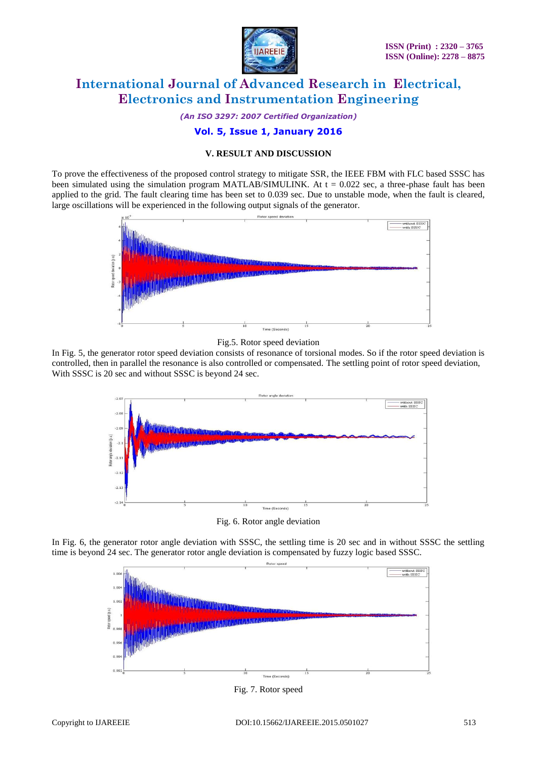

*(An ISO 3297: 2007 Certified Organization)*

### **Vol. 5, Issue 1, January 2016**

#### **V. RESULT AND DISCUSSION**

To prove the effectiveness of the proposed control strategy to mitigate SSR, the IEEE FBM with FLC based SSSC has been simulated using the simulation program MATLAB/SIMULINK. At  $t = 0.022$  sec, a three-phase fault has been applied to the grid. The fault clearing time has been set to 0.039 sec. Due to unstable mode, when the fault is cleared, large oscillations will be experienced in the following output signals of the generator.



#### Fig.5. Rotor speed deviation

In Fig. 5, the generator rotor speed deviation consists of resonance of torsional modes. So if the rotor speed deviation is controlled, then in parallel the resonance is also controlled or compensated. The settling point of rotor speed deviation, With SSSC is 20 sec and without SSSC is beyond 24 sec.



Fig. 6. Rotor angle deviation

In Fig. 6, the generator rotor angle deviation with SSSC, the settling time is 20 sec and in without SSSC the settling time is beyond 24 sec. The generator rotor angle deviation is compensated by fuzzy logic based SSSC.



#### Fig. 7. Rotor speed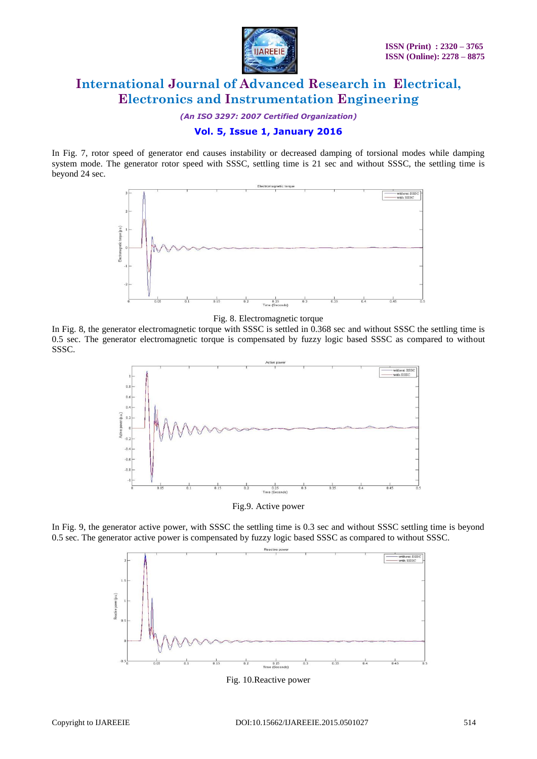

*(An ISO 3297: 2007 Certified Organization)*

### **Vol. 5, Issue 1, January 2016**

In Fig. 7, rotor speed of generator end causes instability or decreased damping of torsional modes while damping system mode. The generator rotor speed with SSSC, settling time is 21 sec and without SSSC, the settling time is beyond 24 sec.



Fig. 8. Electromagnetic torque

In Fig. 8, the generator electromagnetic torque with SSSC is settled in 0.368 sec and without SSSC the settling time is 0.5 sec. The generator electromagnetic torque is compensated by fuzzy logic based SSSC as compared to without SSSC.



Fig.9. Active power

In Fig. 9, the generator active power, with SSSC the settling time is 0.3 sec and without SSSC settling time is beyond 0.5 sec. The generator active power is compensated by fuzzy logic based SSSC as compared to without SSSC.



Fig. 10.Reactive power